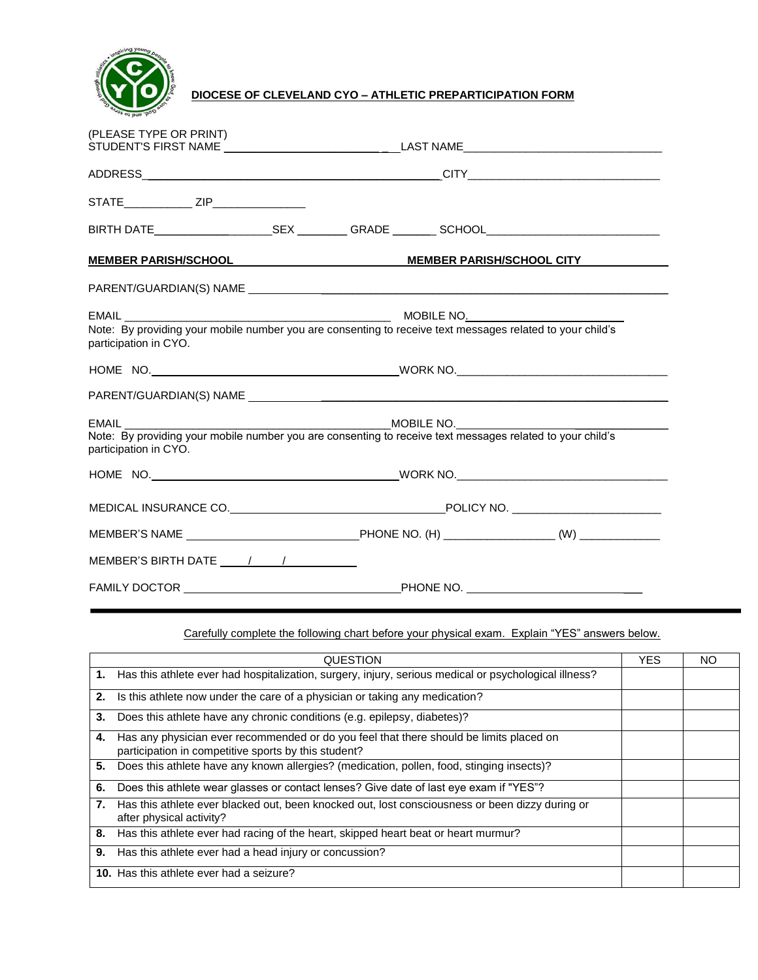

**DIOCESE OF CLEVELAND CYO – ATHLETIC PREPARTICIPATION FORM**

| (PLEASE TYPE OR PRINT)                      |                                                                                                           |  |  |  |
|---------------------------------------------|-----------------------------------------------------------------------------------------------------------|--|--|--|
|                                             |                                                                                                           |  |  |  |
|                                             |                                                                                                           |  |  |  |
| STATE________________ ZIP__________________ |                                                                                                           |  |  |  |
|                                             |                                                                                                           |  |  |  |
|                                             | <u>MEMBER PARISH/SCHOOL MEMBER PARISH/SCHOOL CITY</u>                                                     |  |  |  |
|                                             |                                                                                                           |  |  |  |
|                                             |                                                                                                           |  |  |  |
| participation in CYO.                       | Note: By providing your mobile number you are consenting to receive text messages related to your child's |  |  |  |
|                                             |                                                                                                           |  |  |  |
|                                             |                                                                                                           |  |  |  |
|                                             |                                                                                                           |  |  |  |
| participation in CYO.                       |                                                                                                           |  |  |  |
|                                             |                                                                                                           |  |  |  |
|                                             |                                                                                                           |  |  |  |
|                                             |                                                                                                           |  |  |  |
|                                             |                                                                                                           |  |  |  |
|                                             |                                                                                                           |  |  |  |

Carefully complete the following chart before your physical exam. Explain "YES" answers below.

|    | QUESTION                                                                                                                                        | YES. | NO. |
|----|-------------------------------------------------------------------------------------------------------------------------------------------------|------|-----|
|    | 1. Has this athlete ever had hospitalization, surgery, injury, serious medical or psychological illness?                                        |      |     |
| 2. | Is this athlete now under the care of a physician or taking any medication?                                                                     |      |     |
| 3. | Does this athlete have any chronic conditions (e.g. epilepsy, diabetes)?                                                                        |      |     |
| 4. | Has any physician ever recommended or do you feel that there should be limits placed on<br>participation in competitive sports by this student? |      |     |
| 5. | Does this athlete have any known allergies? (medication, pollen, food, stinging insects)?                                                       |      |     |
| 6. | Does this athlete wear glasses or contact lenses? Give date of last eye exam if "YES"?                                                          |      |     |
|    | Has this athlete ever blacked out, been knocked out, lost consciousness or been dizzy during or<br>after physical activity?                     |      |     |
| 8. | Has this athlete ever had racing of the heart, skipped heart beat or heart murmur?                                                              |      |     |
| 9. | Has this athlete ever had a head injury or concussion?                                                                                          |      |     |
|    | <b>10.</b> Has this athlete ever had a seizure?                                                                                                 |      |     |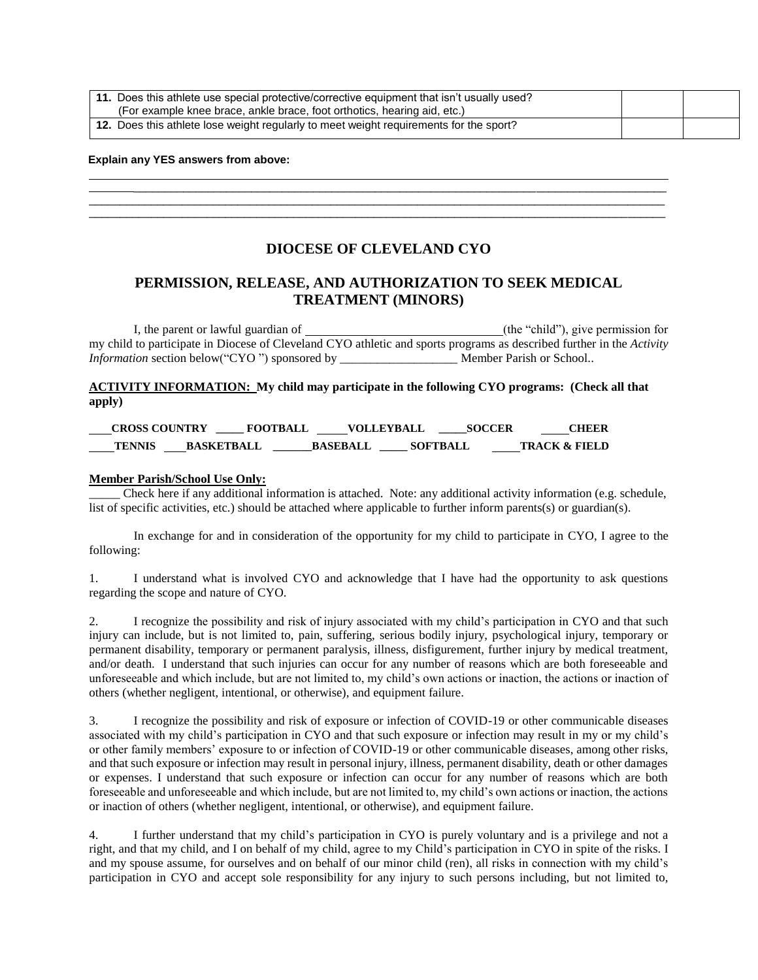| 11. Does this athlete use special protective/corrective equipment that isn't usually used?<br>(For example knee brace, ankle brace, foot orthotics, hearing aid, etc.) |  |  |
|------------------------------------------------------------------------------------------------------------------------------------------------------------------------|--|--|
| 12. Does this athlete lose weight regularly to meet weight requirements for the sport?                                                                                 |  |  |

\_\_\_\_\_\_\_\_\_\_\_\_\_\_\_\_\_\_\_\_\_\_\_\_\_\_\_\_\_\_\_\_\_\_\_\_\_\_\_\_\_\_\_\_\_\_\_\_\_\_\_\_\_\_\_\_\_\_\_\_\_\_\_\_\_\_\_\_\_\_\_\_\_\_\_\_\_\_\_\_\_\_\_\_\_\_

### **Explain any YES answers from above:**

## **DIOCESE OF CLEVELAND CYO**

 $\overline{a}$  , and the state of the state of the state of the state of the state of the state of the state of the state of the state of the state of the state of the state of the state of the state of the state of the state o  $\overline{a}$  , and the state of the state of the state of the state of the state of the state of the state of the state of the state of the state of the state of the state of the state of the state of the state of the state o

# **PERMISSION, RELEASE, AND AUTHORIZATION TO SEEK MEDICAL TREATMENT (MINORS)**

I, the parent or lawful guardian of (the "child"), give permission for my child to participate in Diocese of Cleveland CYO athletic and sports programs as described further in the *Activity Information* section below("CYO ") sponsored by \_\_\_\_\_\_\_\_\_\_\_\_\_\_\_\_\_\_\_\_\_\_\_\_\_\_ Member Parish or School..

**ACTIVITY INFORMATION: My child may participate in the following CYO programs: (Check all that apply)** 

| <b>CROSS COUNTRY</b> |                   | <b>FOOTBALL</b> | <b>VOLLEYBALL</b> | <b>SOCCER</b>   | CHEER                    |
|----------------------|-------------------|-----------------|-------------------|-----------------|--------------------------|
| <b>TENNIS</b>        | <b>BASKETBALL</b> | <b>BASEBALL</b> |                   | <b>SOFTBALL</b> | <b>TRACK &amp; FIELD</b> |

### **Member Parish/School Use Only:**

\_\_\_\_\_ Check here if any additional information is attached. Note: any additional activity information (e.g. schedule, list of specific activities, etc.) should be attached where applicable to further inform parents(s) or guardian(s).

In exchange for and in consideration of the opportunity for my child to participate in CYO, I agree to the following:

1. I understand what is involved CYO and acknowledge that I have had the opportunity to ask questions regarding the scope and nature of CYO.

2. I recognize the possibility and risk of injury associated with my child's participation in CYO and that such injury can include, but is not limited to, pain, suffering, serious bodily injury, psychological injury, temporary or permanent disability, temporary or permanent paralysis, illness, disfigurement, further injury by medical treatment, and/or death. I understand that such injuries can occur for any number of reasons which are both foreseeable and unforeseeable and which include, but are not limited to, my child's own actions or inaction, the actions or inaction of others (whether negligent, intentional, or otherwise), and equipment failure.

3. I recognize the possibility and risk of exposure or infection of COVID-19 or other communicable diseases associated with my child's participation in CYO and that such exposure or infection may result in my or my child's or other family members' exposure to or infection of COVID-19 or other communicable diseases, among other risks, and that such exposure or infection may result in personal injury, illness, permanent disability, death or other damages or expenses. I understand that such exposure or infection can occur for any number of reasons which are both foreseeable and unforeseeable and which include, but are not limited to, my child's own actions or inaction, the actions or inaction of others (whether negligent, intentional, or otherwise), and equipment failure.

4. I further understand that my child's participation in CYO is purely voluntary and is a privilege and not a right, and that my child, and I on behalf of my child, agree to my Child's participation in CYO in spite of the risks. I and my spouse assume, for ourselves and on behalf of our minor child (ren), all risks in connection with my child's participation in CYO and accept sole responsibility for any injury to such persons including, but not limited to,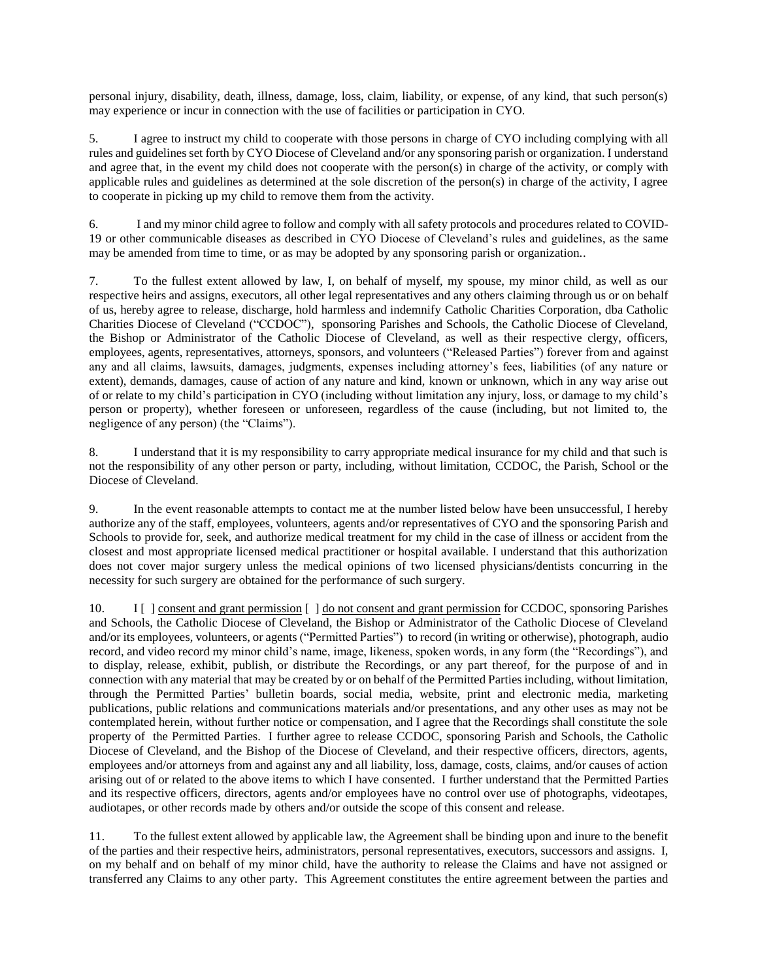personal injury, disability, death, illness, damage, loss, claim, liability, or expense, of any kind, that such person(s) may experience or incur in connection with the use of facilities or participation in CYO.

5. I agree to instruct my child to cooperate with those persons in charge of CYO including complying with all rules and guidelines set forth by CYO Diocese of Cleveland and/or any sponsoring parish or organization. I understand and agree that, in the event my child does not cooperate with the person(s) in charge of the activity, or comply with applicable rules and guidelines as determined at the sole discretion of the person(s) in charge of the activity, I agree to cooperate in picking up my child to remove them from the activity.

6. I and my minor child agree to follow and comply with all safety protocols and procedures related to COVID-19 or other communicable diseases as described in CYO Diocese of Cleveland's rules and guidelines, as the same may be amended from time to time, or as may be adopted by any sponsoring parish or organization..

7. To the fullest extent allowed by law, I, on behalf of myself, my spouse, my minor child, as well as our respective heirs and assigns, executors, all other legal representatives and any others claiming through us or on behalf of us, hereby agree to release, discharge, hold harmless and indemnify Catholic Charities Corporation, dba Catholic Charities Diocese of Cleveland ("CCDOC"), sponsoring Parishes and Schools, the Catholic Diocese of Cleveland, the Bishop or Administrator of the Catholic Diocese of Cleveland, as well as their respective clergy, officers, employees, agents, representatives, attorneys, sponsors, and volunteers ("Released Parties") forever from and against any and all claims, lawsuits, damages, judgments, expenses including attorney's fees, liabilities (of any nature or extent), demands, damages, cause of action of any nature and kind, known or unknown, which in any way arise out of or relate to my child's participation in CYO (including without limitation any injury, loss, or damage to my child's person or property), whether foreseen or unforeseen, regardless of the cause (including, but not limited to, the negligence of any person) (the "Claims").

8. I understand that it is my responsibility to carry appropriate medical insurance for my child and that such is not the responsibility of any other person or party, including, without limitation, CCDOC, the Parish, School or the Diocese of Cleveland.

9. In the event reasonable attempts to contact me at the number listed below have been unsuccessful, I hereby authorize any of the staff, employees, volunteers, agents and/or representatives of CYO and the sponsoring Parish and Schools to provide for, seek, and authorize medical treatment for my child in the case of illness or accident from the closest and most appropriate licensed medical practitioner or hospital available. I understand that this authorization does not cover major surgery unless the medical opinions of two licensed physicians/dentists concurring in the necessity for such surgery are obtained for the performance of such surgery.

10. I [ ] consent and grant permission [ ] do not consent and grant permission for CCDOC, sponsoring Parishes and Schools, the Catholic Diocese of Cleveland, the Bishop or Administrator of the Catholic Diocese of Cleveland and/or its employees, volunteers, or agents ("Permitted Parties") to record (in writing or otherwise), photograph, audio record, and video record my minor child's name, image, likeness, spoken words, in any form (the "Recordings"), and to display, release, exhibit, publish, or distribute the Recordings, or any part thereof, for the purpose of and in connection with any material that may be created by or on behalf of the Permitted Parties including, without limitation, through the Permitted Parties' bulletin boards, social media, website, print and electronic media, marketing publications, public relations and communications materials and/or presentations, and any other uses as may not be contemplated herein, without further notice or compensation, and I agree that the Recordings shall constitute the sole property of the Permitted Parties. I further agree to release CCDOC, sponsoring Parish and Schools, the Catholic Diocese of Cleveland, and the Bishop of the Diocese of Cleveland, and their respective officers, directors, agents, employees and/or attorneys from and against any and all liability, loss, damage, costs, claims, and/or causes of action arising out of or related to the above items to which I have consented. I further understand that the Permitted Parties and its respective officers, directors, agents and/or employees have no control over use of photographs, videotapes, audiotapes, or other records made by others and/or outside the scope of this consent and release.

11. To the fullest extent allowed by applicable law, the Agreement shall be binding upon and inure to the benefit of the parties and their respective heirs, administrators, personal representatives, executors, successors and assigns. I, on my behalf and on behalf of my minor child, have the authority to release the Claims and have not assigned or transferred any Claims to any other party. This Agreement constitutes the entire agreement between the parties and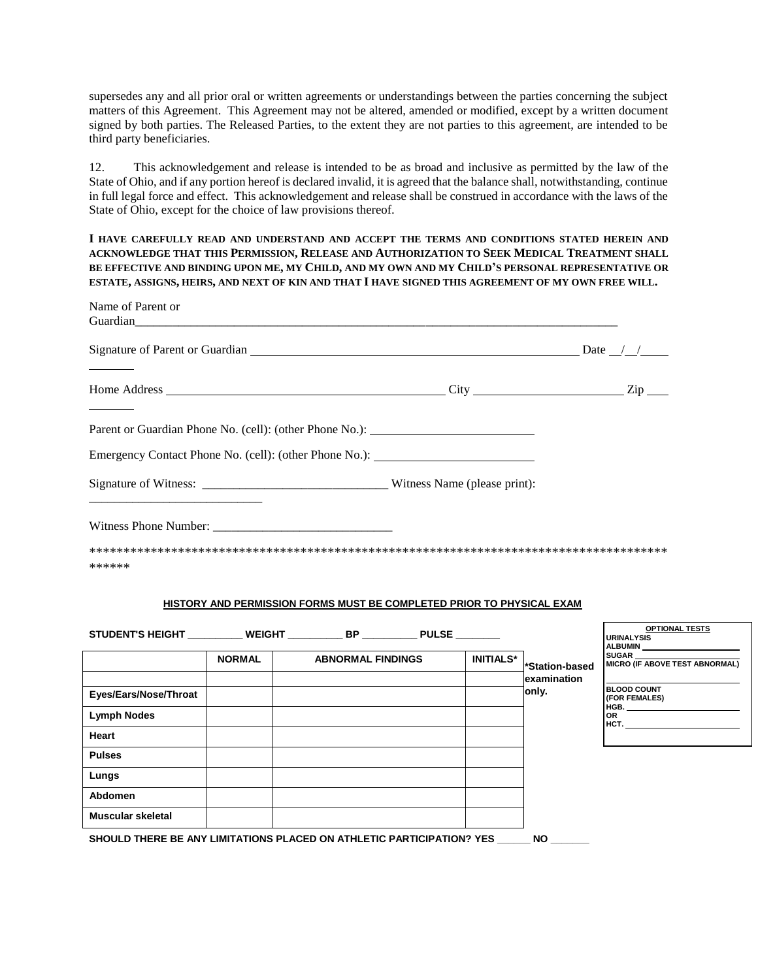supersedes any and all prior oral or written agreements or understandings between the parties concerning the subject matters of this Agreement. This Agreement may not be altered, amended or modified, except by a written document signed by both parties. The Released Parties, to the extent they are not parties to this agreement, are intended to be third party beneficiaries.

12. This acknowledgement and release is intended to be as broad and inclusive as permitted by the law of the State of Ohio, and if any portion hereof is declared invalid, it is agreed that the balance shall, notwithstanding, continue in full legal force and effect. This acknowledgement and release shall be construed in accordance with the laws of the State of Ohio, except for the choice of law provisions thereof.

**I HAVE CAREFULLY READ AND UNDERSTAND AND ACCEPT THE TERMS AND CONDITIONS STATED HEREIN AND ACKNOWLEDGE THAT THIS PERMISSION, RELEASE AND AUTHORIZATION TO SEEK MEDICAL TREATMENT SHALL BE EFFECTIVE AND BINDING UPON ME, MY CHILD, AND MY OWN AND MY CHILD'S PERSONAL REPRESENTATIVE OR ESTATE, ASSIGNS, HEIRS, AND NEXT OF KIN AND THAT I HAVE SIGNED THIS AGREEMENT OF MY OWN FREE WILL.**

| Name of Parent or<br>Guardian |               |                                                                                   |                  |                      |                                                                                                                                                                                                                                             |
|-------------------------------|---------------|-----------------------------------------------------------------------------------|------------------|----------------------|---------------------------------------------------------------------------------------------------------------------------------------------------------------------------------------------------------------------------------------------|
|                               |               | Signature of Parent or Guardian $\Box$                                            |                  |                      |                                                                                                                                                                                                                                             |
|                               |               |                                                                                   |                  |                      |                                                                                                                                                                                                                                             |
|                               |               | Parent or Guardian Phone No. (cell): (other Phone No.): _________________________ |                  |                      |                                                                                                                                                                                                                                             |
|                               |               | Emergency Contact Phone No. (cell): (other Phone No.): __________________________ |                  |                      |                                                                                                                                                                                                                                             |
|                               |               |                                                                                   |                  |                      |                                                                                                                                                                                                                                             |
| Witness Phone Number:         |               |                                                                                   |                  |                      |                                                                                                                                                                                                                                             |
| ******                        |               |                                                                                   |                  |                      |                                                                                                                                                                                                                                             |
|                               |               | <b>HISTORY AND PERMISSION FORMS MUST BE COMPLETED PRIOR TO PHYSICAL EXAM</b>      |                  |                      |                                                                                                                                                                                                                                             |
|                               |               | STUDENT'S HEIGHT _________ WEIGHT __________ BP _________ PULSE _______           |                  |                      | <b>OPTIONAL TESTS</b><br><b>URINALYSIS</b><br><b>ALBUMIN</b>                                                                                                                                                                                |
|                               | <b>NORMAL</b> | <b>ABNORMAL FINDINGS</b>                                                          | <b>INITIALS*</b> | *Station-based       | <b>SUGAR</b><br><b>MICRO (IF ABOVE TEST ABNORMAL)</b>                                                                                                                                                                                       |
|                               |               |                                                                                   |                  | examination<br>only. | <b>BLOOD COUNT</b>                                                                                                                                                                                                                          |
| Eyes/Ears/Nose/Throat         |               |                                                                                   |                  |                      | (FOR FEMALES)<br><b>HGB. Manufacturer</b>                                                                                                                                                                                                   |
| <b>Lymph Nodes</b>            |               |                                                                                   |                  |                      | <b>OR</b><br>HCT. The contract of the contract of the contract of the contract of the contract of the contract of the contract of the contract of the contract of the contract of the contract of the contract of the contract of the contr |
| Heart                         |               |                                                                                   |                  |                      |                                                                                                                                                                                                                                             |
| <b>Pulses</b>                 |               |                                                                                   |                  |                      |                                                                                                                                                                                                                                             |
| Lungs                         |               |                                                                                   |                  |                      |                                                                                                                                                                                                                                             |
| <b>Abdomen</b>                |               |                                                                                   |                  |                      |                                                                                                                                                                                                                                             |
| Muscular skeletal             |               |                                                                                   |                  |                      |                                                                                                                                                                                                                                             |
|                               |               |                                                                                   |                  |                      |                                                                                                                                                                                                                                             |

**SHOULD THERE BE ANY LIMITATIONS PLACED ON ATHLETIC PARTICIPATION? YES \_\_\_\_\_\_ NO \_\_\_\_\_\_\_**